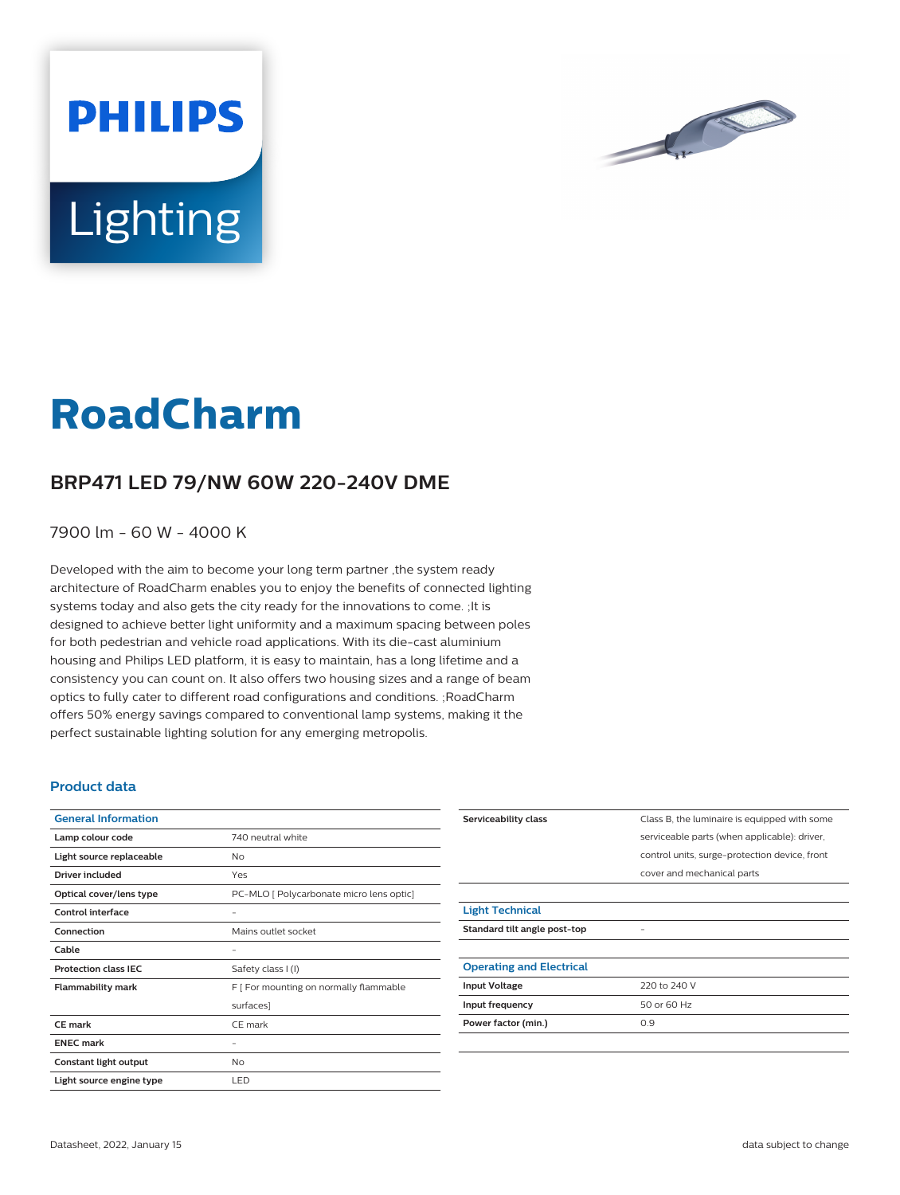

# **Lighting**

**PHILIPS** 

# **RoadCharm**

## **BRP471 LED 79/NW 60W 220-240V DME**

7900 lm - 60 W - 4000 K

Developed with the aim to become your long term partner ,the system ready architecture of RoadCharm enables you to enjoy the benefits of connected lighting systems today and also gets the city ready for the innovations to come. ;It is designed to achieve better light uniformity and a maximum spacing between poles for both pedestrian and vehicle road applications. With its die-cast aluminium housing and Philips LED platform, it is easy to maintain, has a long lifetime and a consistency you can count on. It also offers two housing sizes and a range of beam optics to fully cater to different road configurations and conditions. ;RoadCharm offers 50% energy savings compared to conventional lamp systems, making it the perfect sustainable lighting solution for any emerging metropolis.

#### **Product data**

| <b>General Information</b>  |                                          |
|-----------------------------|------------------------------------------|
| Lamp colour code            | 740 neutral white                        |
| Light source replaceable    | No                                       |
| <b>Driver included</b>      | Yes                                      |
| Optical cover/lens type     | PC-MLO [ Polycarbonate micro lens optic] |
| Control interface           |                                          |
| Connection                  | Mains outlet socket                      |
| Cable                       |                                          |
| <b>Protection class IEC</b> | Safety class I (I)                       |
| <b>Flammability mark</b>    | F [ For mounting on normally flammable   |
|                             | surfaces]                                |
| <b>CE</b> mark              | CE mark                                  |
| <b>ENEC mark</b>            |                                          |
| Constant light output       | <b>No</b>                                |
| Light source engine type    | LED                                      |

| Serviceability class            | Class B, the luminaire is equipped with some  |
|---------------------------------|-----------------------------------------------|
|                                 | serviceable parts (when applicable): driver,  |
|                                 | control units, surge-protection device, front |
|                                 | cover and mechanical parts                    |
|                                 |                                               |
| <b>Light Technical</b>          |                                               |
| Standard tilt angle post-top    |                                               |
|                                 |                                               |
| <b>Operating and Electrical</b> |                                               |
| <b>Input Voltage</b>            | 220 to 240 V                                  |
| Input frequency                 | 50 or 60 Hz                                   |
| Power factor (min.)             | 0.9                                           |
|                                 |                                               |